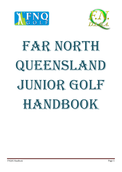



# FAR NORTH QUEENSLAND Junior GOLF HANDBOOK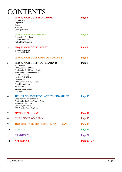### **CONTENTS**

| 1.       | <b>FNQ JUNIOR GOLF HANDBOOK</b><br>Introduction<br>Objective<br>Scope<br>Reviews<br>Correspondence                                                                                                                                                                                                                                                                                                           | Page 3            |
|----------|--------------------------------------------------------------------------------------------------------------------------------------------------------------------------------------------------------------------------------------------------------------------------------------------------------------------------------------------------------------------------------------------------------------|-------------------|
| 2.       | <b>FNQ JUNIOR COMMITTEE</b><br>Junior Golf Coordinator<br>Junior Committee<br>Role of the Committee                                                                                                                                                                                                                                                                                                          | Page 5            |
| 3.       | <b>FNQ JUNIOR GOLF SAFETY</b><br><b>Incident Reporting</b><br>Photographic Policy                                                                                                                                                                                                                                                                                                                            | Page 7            |
| 4.       | FNQ JUNIOR GOLF CODE OF CONDUCT                                                                                                                                                                                                                                                                                                                                                                              | Page 8            |
| 5.<br>6. | FNQ JUNIOR GOLF TOURNAMENTS<br>Tournaments<br>FNQ Junior Golf Opens<br>FNQ Junior Golf Playing Division<br>FNG Junior Golf Open Fee's<br><b>Modified Players</b><br>Novices Full 9 Holes<br>18 Holes Juniors<br>FNQ Junior Challenge Events<br>Conditions of Play<br>Responsibility<br>Being a Good Caddy<br>Junior Golf Etiquette<br><b>JUNIOR GOLF QUEENSLAND TOURNAMENTS</b><br>Greg Norman Junior Master | Page 9<br>Page 13 |
|          | FNQ Junior Jug Inter-District Team<br>Katherine Kirk Classic<br>Gary Player Classic<br>JGQ District Point Challenge                                                                                                                                                                                                                                                                                          |                   |
| 7.       | <b>MYGOLF PROGRAM</b>                                                                                                                                                                                                                                                                                                                                                                                        | Page 16           |
| 8.       | <b>HILLS GOLF ACADEMY</b>                                                                                                                                                                                                                                                                                                                                                                                    | Page 17           |
| 9.       | <b>JGQ REGIONAL DEVELOPMENT PROGRAM</b>                                                                                                                                                                                                                                                                                                                                                                      | Page 18           |
| 10.      | <b>AWARDS</b>                                                                                                                                                                                                                                                                                                                                                                                                | Page 19           |
| 11.      | <b>HANDICAPS</b>                                                                                                                                                                                                                                                                                                                                                                                             | Page 21           |
| 12.      | <b>APPENDIX'S</b>                                                                                                                                                                                                                                                                                                                                                                                            | Page 23 - 37      |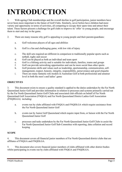# **INTRODUCTION**

1. With ageing Club memberships and the overall decline in golf participation, junior members have never been more important to the future of Golf Clubs. Similarly, never before have children had more variety and opportunity in terms of activities, all competing to occupy their spare time and attract their talent. These factors present a challenge for golf clubs to improve its 'offer' to young people, and encourage them to start and stay in the game.

- 2. There are many reasons why golf is appealing to young people and their parents/guardians:
	- a. Golf welcomes players of all ages and abilities
	- b. Golf is a fun and challenging game, with low risk of injury
	- c. The skill sets required are different in comparison to traditionally popular sports such as netball, rugby and soccer
	- d. Golf can be played as both an individual and team sport
	- e. Golf is a lifelong activity and is suitable for individuals, families, teams and groups
	- f. Golf can provide networking opportunities and can be more social than other sports
	- h. Golf promotes skills and values such as leadership, sportsmanship, communication, selfmanagement, respect, honesty, integrity, responsibility, perseverance and good etiquette
	- i. There are many fantastic role models in Australian Golf at both professional and amateur level in both the men's and ladies' game

#### **OBJECTIVES**

3. This document exists to ensure a quality standard is applied to the duties undertaken by the Far North Queensland Junior Golf and provides information in relation to processes and systems primarily carried out by the Far North Queensland Junior Golf Clubs and associated club officials on behalf of Far North Queensland Golf Association (FNQGA) and Far North Queensland District Ladies Golf Association (FNQDLGA) including:

- a. events run by clubs affiliated with FNQGA and FNQDLGA which require assistance from the Far North Queensland Junior Golf
- b. events run by Junior Golf Queensland which require input from, or liaison with the Far North Queensland Junior Golf
- c. processes and tasks undertaken by the Far North Queensland Junior Golf Clubs to assist the Far North Queensland Junior Golf Sub-Committee with reporting, data collation and record keeping

#### **SCOPE**

4. This document covers all financial junior members of Far North Queensland district clubs that are affiliates of FNQGA and FNQDLGA.

5. This document also covers financial junior members of clubs affiliated with other district bodies whilst participating in events run by clubs affiliated with FNQGA and FNODLGA.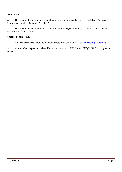#### **REVIEWS**

6. This handbook shall not be amended without consultation and agreement with both Executive Committee from FNQGA and FNQDLGA.

7. This document shall be reviewed annually at both FNQGA and FNQDLGA AGM or as deemed necessary by the Committee.

#### **CORRESPONDENCE**

8. All correspondence should be managed through the email address of [junior@fnqgolf.com.au](mailto:junior@fnqgolf.com.au)

9 A copy of correspondence should be forwarded to both FNQGA and FNQDLGA Secretary where relevant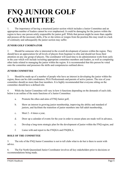### **FNQ JUNIOR GOLF COMMITTEE**

1. The importance of having a structured junior section which includes a Junior Committee and an appropriate number of leaders cannot be over emphasised. It could be damaging for the juniors within the region to have one person solely responsible for junior golf. While that person might be more than capable and possess all the necessary skills, if he or she retires or resigns from the position this may result in a lack of continuity and subsequently the junior section may suffer.

#### **JUNIOR GOLF COORINATOR**

2. Should be someone who is interested in the overall development of juniors within the region. They should have an appreciation for all levels of players from beginner to elite and should not focus their attention on any one group of players. The coordinator will need time to do administration work from early in the year which will include recruiting appropriate committee members and leaders, as well as completing other tasks related to managing the junior within the region. It is recommended that this person be voted onto the committee and possesses the skills and competencies outlined above.

#### **JUNIOR COMMITTEE**

3. Should be made up of a number of people who have an interest in developing the junior within the region, these can be club coordinators, PGA Professionals and parents of active juniors. The size of your committee should no more than four members. It is highly recommended that everyone sitting on the committee should have a defined role.

4. While the Junior Committee will vary in how it functions depending on the demands of each club, below is an outline of the main functions of a Junior Committee:

- a. Promote the ethos and aims of FNQ Junior golf,
- b. Show an interest in growing junior membership, improving the ability and standard of juniors, and facilitate the transition of junior members into full adult membership,
- c. Meet 2 4 times a year,
- d. Draw up a calendar of events for the year in order to ensure plans are made well in advance,
- e. Develop a long-term strategic plan for the development of junior within the FNQ region, and
- f. Liaise with and report to the FNQGA and FNQDLA.

#### **ROLE OF THE COMMITTEE**

5. The role of the FNQ Junior Committee is not to tell clubs what to do but is there to assist with advice.

6. The Far North Queensland Junior Coordinator involves all key stakeholders prior to decisions or recommendations being made.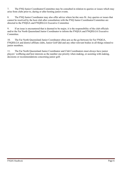7. The FNQ Junior Coordinator/Committee may be consulted in relation to queries or issues which may arise from clubs prior to, during or after hosting junior events.

8. The FNQ Junior Coordinator may also offer advice where he/she sees fit. Any queries or issues that cannot be resolved by the host club after consultation with the FNQ Junior Coordinator/Committee are directed to the FNQGA and FNQDLGA Executive Committee

9. If an issue is encountered that is deemed to be major, it is the responsibility of the club officials and/or the Far North Queensland Junior Coordinator to inform the FNQGA and FNQDLGA Executive Committee.

10. The Far North Queensland Junior Coordinator often acts as the go-between for Far FNQGA, FNQDLGA and district affiliate clubs, Junior Golf Qld and any other relevant bodies in all things related to junior members.

11. The Far North Queensland Junior Coordinator and Club Coordinators must always have junior players' wellbeing and best interests as the number one priority when making, or assisting with making, decisions or recommendations concerning junior golf.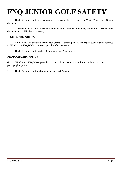# **FNQ JUNIOR GOLF SAFETY**

1. The FNQ Junior Golf safety guidelines are layout in the FNQ Child and Youth Management Strategy document.

2. This document is a guideline and recommendation for clubs in the FNQ region; this is a standalone document and will be issue separately.

#### **INCIDENT REPORTING**

4. All incidents and accidents that happen during a Junior Open or a junior golf event must be reported to FNQGA and FNQDLGA as soon as possible after the event.

5. The FNQ Junior Golf Incident Report form is at Appendix A.

#### **PHOTOGRAPHIC POLICY**

6. FNQGA and FNQDLGA provide support to clubs hosting events through adherence to the photographic policy.

7. The FNQ Junior Golf photographic policy is at Appendix B.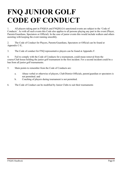# **FNQ JUNIOR GOLF CODE OF CONDUCT**

1. All players taking part in FNQGA and FNQDLGA sanctioned events are subject to the 'Code of Conducts'. As with all such events this Code also applies to all persons playing any part in the event (Player, Parents/Guardians, Spectators or Official). In the case of junior events this would include walkers and others assisting with keeping the event running smoothly.

2. The Code of Conduct for Players, Parents/Guardians, Spectators or Official can be found at Appendix C-E,

3. The Code of conduct for FNQ representative players can be found at Appendix F.

4. Fail to comply with the Code of Conducts for a tournament, could mean removal from the course/Club house holding the junior golf tournament in the first incident. For a second incident could be a ban from all junior golf tournaments.

- 5. Main points to remember from the Code of Conducts are:
	- a. Abuse verbal or otherwise of players, Club/District Officials, parent/guardian or spectators is not permitted. and
	- b. Coaching of players during tournament is not permitted.
- 6. The Code of Conduct can be modified by Junior Clubs to suit their tournaments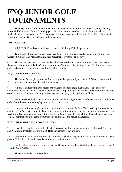# **FNQ JUNIOR GOLF TOURNAMENTS**

1. The FNQ Junior Tournament Calendar is developed in October/November each year by the FNQ Junior Golf Committee for the following year. Once the dates are confirmed with clubs, the calendar is finalised and it is emailed to the FNQ Secretary for information and uploading to the website. The calendar is also provided to JGQ, for inclusion in their calendar.

#### **TOURNAMENTS**

2. All FNQ Golf can hold a junior open event or a junior golf challenge event.

3. Traditionally these tournaments have been held by the following that have a junior golf program (Atherton, Cairns, Half Moon Bay, Innisfail, Mossman, Ravenshoe and Tully).

4. These events are listed on the calendar with links to relevant sites. Clubs are to email their event flyers and information to the FNQ Junior Coordinator/Committee for posting on the FNQ Junior webpage and Facebook and for forwarding to all other affiliate clubs.

#### **FNQ JUNIOR GOLF OPENS**

5. The Junior Opens give juniors within the region the opportunity to play on different courses within FNQ and to meet other juniors from different clubs.

6. All junior golfers within the region are welcome to attend these events. Junior opens are not compulsory however they offer broader experience of competitive golf as well as a great opportunity to play on other courses. Opens are also a good way to meet other players from different Clubs.

7. We also receive invitations to play in Opens outside our region. Details of these are sent to individual clubs. Co-ordinators should display these on their noticeboard.

8. Nomination forms are placed on the junior notice board usually Four/Three weeks prior to an Open and it is up to Parents to nominate their child. Nomination forms must be sent to the hosting club at least one week prior. Late nominations may not be accepted although normally host club will try to help where they can. All nominations must come from their club and include the player's handicap.

#### **FNQ JUNIOR GOLF PLAYING DIVISIONS**

9. Host clubs have the right to decide what division/s will be applicable on the day for modified 3, 6, and 9 Holes, full 9 Holes players, and 18 Hole participants (boys and girls).

10. Further, it is up to the host club's discretion as to whether they include divisions within each of these groups. This will be dependent on the number of nominations received.

11. For 18 hole boys and girls, clubs are advised to state on their flyers that it could be Divisions 1 and 2 or A, B, and C Grade.

12. The recommended split would be: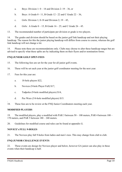- a. Boys: Division  $1: 0 18$  and Division  $2: 19 36$ , or
- b. Boys: A Grade  $0 11$ , B Grade  $12 22$  and C Grade  $22 36$ ,
- c. Girls: Division 1; 0-18 and Division 2;  $19-45$ ,
- d. Girls: A Grade  $0 15$ , B Grade  $16 25$ , and C Grade  $26 45$ .
- 13. The recommended number of participate per division or grade is two players.

14. The grades and division should be based on the junior golf link handicap and not their playing handicap. The reason for this the junior playing handicap will differs from course to course, whereas the golf link handicap will not change a lot.

14. Please note these are recommendations only. Clubs may choose to alter these handicap ranges but are advised to specify what these splits are by indicating them on their flyers and/or nomination forms.

#### **FNQ JUNIOR GOLF OPEN FEES**

- 15. The following fees are set for the year for all junior golf events.
- 16. These will be set each year at the junior golf coordinator meeting for the next year.
- 17. Fees for this year are:
	- a. 18-hole players \$22,
	- b. Novices (9-hole Player Full) \$17,
	- c. Tadpoles (9-hole modified players) \$14,
	- d. Pee Wees (3/6-hole modified players) \$15.
- . 18. These fees are to be review at the FNQ Junior Coordinators meeting each year.

#### **MODIFIED PLAYERS**

19. The modified players, play a modified with PAR 3 between 50 – 100 meters, PAR 4 between 100 – 170 meters, and PAR 5 between 180 – 240 meters.

20. Guidelines for modified course and rules can be found at appendix G.

#### **NOVICE's FULL 9-HOLES**

21. The Novices play full 9-holes from ladies and men's tees. This may change from club to club.

#### **FNQ JUNIOR CHALLENGE EVENTS**

22. These events are design for Novices player and below, however GA junior can also play in these events when their handicap is half.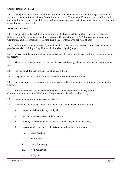#### **CONDITIONS OF PLAY**

23. FNQ junior tournaments Conditions of Play is provided to assist clubs in providing a uniform and structured document for participants. Variables such as dates, Tournament Committee and Handicap limits are noted for each respective club to enter and we welcome any queries that may arise from the construction of conditions for your event.

#### **RESPONSIBILITY**

24. Responsibility for each junior event lies with the hosting affiliate club or body unless otherwise stated. The club's event management, i.e. the Junior Coordinator and/or PGA Professional and/or Junior Committee, hold responsibility for hosting events in accordance with the rules of golf.

25. Clubs are to provide an event flyer with details of the events four weeks prior to the event date, if possible and six if holding a Greg Norman Junior Master Qualifying event.

26. Where possible a draw is to be completed at least 48 hours prior to the event to assist travel planning for parents.

27. The draw is to be structured so that the 18 Holes and lesser grade players finish at around the same time.

28. Provide lunch for each entrant, including a soft drink.

29. Display results on a white board or similar at the conclusion of the event.

30. Ensure that player's scorecards are sent or given to the relevant Junior Coordinators, not mailed to Clubs.

31. Send full results of the event containing details of each player to the FNQ Junior Coordinator/Committee, via FNQGA and FNQDLGA emails address within 7 days.

- 32. Supply official walkers with scoring sheets/cards.
- 33. When clubs are hosting a Junior Golf event, they should consider the following:
	- a. separate divisions for boys and girls,
	- b. divisions graded where numbers permit,
	- c. quality prizes suitable for the age/division of players being awarded,
	- d. recommended prizes in each division including, but not limited to:
		- i. Gross Winner,
		- ii. Nett Winner,
		- iii. Gross Runner-up,
		- iv. Nett Runner-up,
			- v. NTP, and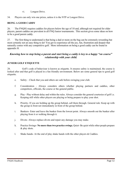- vi. Longest Drive.
- 34. Players can only win one prizes, unless it is the NTP or Longest Drive.

#### **BEING A GOOD CADDY**

26. The FNQJG requires caddies for players below the age of 10 and, although not required for older players, parent caddies are prevalent in all FNQ Junior tournaments. This section gives some ideas on how to be a good parent caddy.

27. The first thing to understand is that being a dad or mom on the bag can be extremely rewarding but most certainly not an easy thing to do! You get to experience all the joy, fun, frustration and despair that naturally comes with any competitive golf. More information on being a good caddy can be found in appendix H.

#### *Knowing how to stop being a parent and start being a caddy is key to a happy "on course" relationship with your child.*

#### **JUNIOR GOLF ETIQUETTE**

28. Golf's code of behaviour is known as etiquette. It ensures safety is maintained, the course is looked after and that golf is played in a fun friendly environment. Below are some general tips to good golf etiquette.

- e. Safety Check that you and others are safe before swinging your club.
- f. Consideration Always considers others whether playing partners and caddies, other competitors, officials, the course or the general public.
- g. Play Play without delay and within the rules. Always consider the general courtesies of golf i.e. Keeping still while other players are playing or being prepare to play your shot.
- h. Priority- If you are holding up the group behind, call them through. General rule: Keep up with the group in front not immediately in front of the group behind.
- i. Bunkers- Enter and leave the bunker from the lowest point. Always smooth out the bunker after playing from it or walking through it.
- j. Divots- Always replace divots and repair any damage you may make.
- k. Practice Swings- **No more than two practice swings.** Quiet- Be quiet while other people prepare & play shots.
- l. Shake hands- At the end of play shake hands with the other players  $&$  Caddies.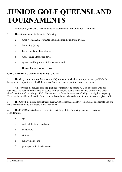# **JUNIOR GOLF QUEENSLAND TOURNAMENTS**

- 1. Junior Golf Queensland host a number of tournaments throughout QLD and FNQ.
- 2. These tournaments included the following:
	- a. Greg Norman Junior Master Tournament and qualifying events,
	- b. Junior Jug (girls),
	- c. Katherine Kirk Classic for girls,
	- d. Gary Player Classic for boys,
	- e. Queensland Boy's and Girl's Amateur, and
	- f. District Points Challenge Event.

#### **GREG NORMAN JUNIOR MASTERS (GNJM)**

3. The Greg Norman Junior Masters is a JGQ tournament which requires players to qualify before being invited to participate. FNQ district is offered three open qualifier events each year.

4. All scores for all players from the qualifier events must be sent to JGQ to determine who has qualified. The host club must send all scores from qualifying events to the FNQJC within a one-week timeframe for on-forwarding to JGQ. Players must be financial members of JGQ to be eligible to qualify. Players who qualify are listed in the event details on the website and are sent an invitation to register online.

5. The GNJM includes a district team event. JGQ request each district to nominate one female and one male representative to participate in the team event.

6. The FNQJC selects district representatives taking all the following personal criteria into consideration:

- a. age,
- b. golf link history / handicap,
- c. behaviour,
- d. attitude,
- e. achievements, and
- f. participation in district events.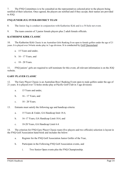7. The FNQ Committees is to be consulted on the representatives selected prior to the players being notified of their selection. Once agreed, the players are notified and if they accept, their names are provided to JGQ.

#### **FNQ JUNIOR JUG INTER-DISTRICT TEAM**

8. The Junior Jug is conduct in conjunction with Katherine Kirk and is a 54 hole net event.

9. The team consists of 3 junior female players plus 2 adult female officials.

#### **KATHERINE KIRK CLASSIC**

10. The Katherine Kirk Classic is an Australian Girls Ranking Even open to female golfers under the age of 21 years. It is played over 54-hole stroke play in 3 age division. It is conducted by [Golf Queensland.](http://www.golfqueensland.org.au/)

- a. 15 Years and under,
- b. 16 17 Years, and
- c. 18 20 Years.

11. FNQ juniors' girls are required to self-nominate for this event, all relevant information is on the JGQ website.

#### **GARY PLAYER CLASSIC**

12. The Gary Player Classic is an Australian Boys' Ranking Event open to male golfers under the age of 21 years. It is played over 72-holes stroke play at Pacific Golf Club in 3 age divisions:

- a. 15 Years and under,
- b. 16 17 Years, and
- c. 18 20 Years.
- 13. Entrants must satisfy the following age and handicap criteria:
	- a. 15 Years & Under, GA Handicap limit 18.4,
	- b. 16–17 Years, GA Handicap Limit 10.4, and
	- c. 18-20 Years, GA Handicap Limit 6.4.

14. The criterion for FNQ Gary Player Classic team (five players and two officials) selection is layout in the FNQ Golf Association hand book and includes the below:

- a. Register for the FNQ Golf Association Junior Golfer of the Year,
- b. Participate in the Following FNQ Golf Association events, and
	- i. Two Senior Open events plus the FNQ Championship.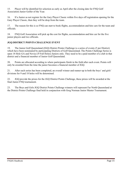15. Player will be identified for selection as early as April after the closing date for FNQ Golf Association Junior Golfer of the Year.

16. If a Junior as not register for the Gary Player Classic within five days off registration opening for the Gary Player Classic, then they will be drop from the team.

17. The reason for this is so FNQ can start to book flights, accommodation and hire cars for the team and officials.

18. FNQ Golf Association will pick up the cost for flights, accommodation and hire car for the five junior players and two officials.

#### **JGQ DISTRICT POINTS CHALLENGE EVENT**

19. The Junior Golf Queensland (JGQ) District Points Challenge is a series of events (5 per District) which have been nominated by participating Districts of Golf Queensland. The Points Challenge Series is open 18 Hole GA and Novice (9 Full Holes) Juniors only. They need to be a paid member of a club in that district and a financial member of Junior Golf Queensland.

20. Points are allocated according to where participants finish in the field after each event. Points will only be awarded from the time the junior becomes a financial member of JGQ.

21. After each series has been completed, an overall winner and runner-up in both the boys' and girls' divisions for 9 and 18 holes will be determined.

22. JGQ provide the prizes for the JGQ District Points Challenge, these prizes will be awarded at the final Junior FNQ tournament.

23. The Boys and Girls JGQ District Points Challenge winners will represent Far North Queensland at the District Points Challenge final held in conjunction with Greg Norman Junior Master Tournament.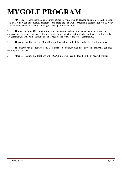# **MYGOLF PROGRAM**

1. MYGOLF is Australia's national junior introductory program to develop and promote participation in golf. A 10-week introductory program to the sport, the MYGOLF program is designed for 5 to 12-year old's and is the major driver of junior golf participation in Australia.

2. Through the MYGOLF program, we aim to increase participation and engagement in golf by children, and provide a fun, accessible and satisfying introduction to the sport of golf by promoting skills development, as well as the social and fun aspects of the sport, to the wider community.

3. The Atherton, Cairns, Half Moon Bay and Ravenshoe Golf Clubs conduct My Golf programs.

4. The district can also request a My Golf camp to be conduct over three days; this is normal conduct by JGQ PGA coaches.

5. More information and locations of MYGOLF programs can be found on the MYGOLF website.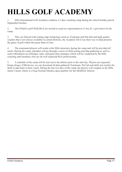# **HILLS GOLF ACADEMY**

1. Hills International Golf Academy conducts a 5 days coaching camp during the school holiday period September/October.

2. The FNQGA and FNQLDGA are invited to send two representatives (1 boy & 1 girl) down for the camp.

3. They are blessed with cutting edge technology (such as Trackman and Putt lab) and high-quality coaches that is not always available in certain Districts, the Academy felt it was their way to help promote the game of golf within this great State of ours.

4. The nominated players will reside at the Hills dormitory during the camp and will be provided all meals. During the camp, attendees will go through a series of skills testing and data gathering as well as some information on technique, rules, and game plan strategies which will be conducted by the Hills coaching staff members who are all well respected PGA professionals.

5. A schedule of the camp will be sent out to the district prior to the start day. Players are requested brings along a USB device, we can download all data gathered (Trackman, Putt lab and skills test results) for them to take back to their coach. During the last two days of the camp, the players will compete in the Hills Junior Classic which is a Greg Norman Masters open qualifier for the SEQDGA District.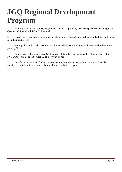# **JGQ Regional Development Program**

1. Junior golfers located in FNQ Region will have the opportunity to access specialised coaching from Queensland State Coach/PGA Professional.

2. Parents and participating juniors will also learn about Queensland's Participation Pathway and Talent Identification process.

3. Participating juniors will have fun, acquire new skills, have autonomy and interact with like-minded junior golfers.

4. Juniors need to have an official GA handicap of 25 or less and be a member of a golf club within FNQ District and be aged between 12 and 17 years of age

5. Be a financial member of JGQ to access the program free of charge. If you are not a financial member of Junior Golf Queensland, there will be a cost for the program.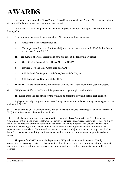### **AWARDS**

1. Prizes are to be awarded to Gross Winner, Gross Runner-up and Nett Winner, Nett Runner Up for all division at Far North Queensland junior golf tournaments.

2. If there are less than two players in each division prize allocation is left up to the discretion of the hosting Club.

- 3. The following prizes are to be award at all FNQ Juniors golf tournaments :
	- a. Gross winner and Gross runner up,
	- b. The major award presented to financial junior members each year is the FNQ Junior Golfer of the Year Award (GOTY).
- 4. There are number of awards presented to boys and girls in the following divisions:
	- a. GA 18 Holes Boys and Girls Gross, Nett and GOTY,
	- b. Novices Boys and Girls Gross, Nett and GOTY,
	- c. 9 Holes Modified Boys and Girl Gross, Nett and GOTY, and
	- d. 6 Holes Modified Boys and Girls GOTY.
- 5. The GOTY Award Presentations will coincide with the final tournament of the year in October.
- 6. FNQ Junior Golfer of the Year will be presented to boys and girls each division.
- 7. The junior gross and nett player for the will also be present to boys and girls in each division.

8. A players can only win gross or nett award, they cannot win both, however they can win gross or nett and overall GOTY.

9. To determine GOTY winners, points will be allocated to players for their gross and nett scores at all FNQ Junior Tournaments held within the district.

10. Clubs hosting junior opens are required to provide all players' scores to the FNQ Junior Golf Coordinator within a one-week timeframe. All scores are entered into a spreadsheet which is kept on file by the FNQ Junior Golf Committee for reference and record keeping purposes. The spreadsheet is used to determine the placings for all players. Points are allocated for placings and calculations are done in a separate excel spreadsheet. The spreadsheets are updated after each junior event and a copy is emailed to both FNQ Secretary for auditing and transparency and to ensure the Committee are kept informed at all times.

11. The points for GOTY are not displayed on the FNQ website for specific reasons. Healthy competition is encouraged between players but the ultimate objective of the Committee is for all juniors to make friends and have fun whilst enjoying the game of golf and have the opportunity to play different courses.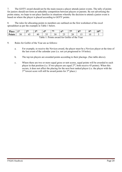7. The GOTY award should not be the main reason a player attends junior events. The tally of points for juniors should not form an unhealthy competition between players or parents. By not advertising the points status, we hope to not place families in situations whereby the decision to attend a junior event is based on where the player is placed according to GOTY points.

8. The rules for allocating points to members are outlined on the first worksheet of the excel spreadsheet as per the example in Table 1 below.

| <b>Place</b>                                 | 1 st | $\boldsymbol{\gamma}$ th | 2 <sup>th</sup> | ⁄1th | 5th | 6 <sup>th</sup> | $\tau$ th | oth | <b>Oth</b> | 10 <sup>th</sup> |
|----------------------------------------------|------|--------------------------|-----------------|------|-----|-----------------|-----------|-----|------------|------------------|
| <b>Points</b>                                |      |                          |                 |      |     |                 |           |     |            |                  |
| Table 1: Points award for Golfer of the Year |      |                          |                 |      |     |                 |           |     |            |                  |

9. Rules for Golfer of the Year are as follows:

- a. For example, to receive the Novices award, the player must be a Novices player at the time of the last event of the calendar year (i.e. not yet progressed to 18 holes).
- b. The top ten players are awarded points according to their placings. (See table above).
- c. Where there are two or more equal gross or nett scores, equal points will be awarded to each player in that position (i.e. If two players are equal  $2<sup>nd</sup>$ , both receive 45 points). When this occurs, it does not affect the placing for the next best ranked player (i.e. the player with the  $3<sup>rd</sup>$  lowest score will still be award points for  $3<sup>rd</sup>$  place.)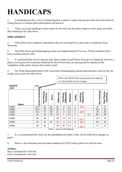# **HANDICAPS**

1. A handicap provides a way of monitoring how a junior is improving and provides real motivation for young players to continue their participation and practice.

2. Clubs can assign handicap to their junior for the start, has the junior improves their game and skills, their handicap will come down.

#### **SPREADSHEET**

3. FNQ Juniors have adopted a spreadsheet that was developed by a past junior coordinator from Mossman.

4. The FNQ Junior golf handicapping system was implemented for Novices, 9 holes modified and 6 holes modified players only.

5. It is preferred that all new players, play three rounds of golf before been given a handicap, however a player can be given the maximum handicap for the division they are playing and be adjusted at the completion of the junior players first round of golf.

6. Far North Queensland Junior Golf Association Handicapping spread sheet has been used for the last couple years as per the table below.



Table 1: Junior Golf Handicap

7. It is recommended that clubs use the spreadsheet provided as this will be difficult to manage on paper.

8. Below is the minimum and maximum handicap for FNQ Junior golfers for each division.

#### **18 Holes**

Boys Calculated by Golf link Girls Calculated by Golf link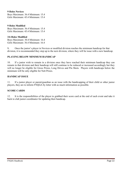#### **9 Holes Novices**

Boys Maximum: 36.4 Minimum: 15.4 Girls Maximum: 45.4 Minimum: 15.4

#### **9 Holes Modified**

Boys Maximum: 36.4 Minimum: 15.4 Girls Maximum: 45.4 Minimum: 15.4

#### **3/6 Holes Modified**

Boys Maximum: 30.4 Minimum: 16.4 Girls Maximum: 36.4 Minimum: 16.4

9**.** Once the junior's player in Novices or modified division reaches the minimum handicap for that division, it is recommended they step up to the next division, where they will be issue with a new handicap.

#### **PLAYING BELOW MINIMUM HANDICAP**

10. If a junior wish to remain in a division once they have reached their minimum handicap they can remain in that division and their handicap will still continue to be reduced or increased accordingly but they will no longer be eligible for Gross Prizes, Long Drives and Pin Shots. Players with handicaps below the minimum will be only eligible for Nett Prizes.

#### **HANDICAP ISSUE**

11. If a junior player or parent/guardian as an issue with the handicapping of their child or other junior players, they are to inform FNQGA by letter with as much information as possible.

#### **SCORE CARDS**

12. It is the responsibilities of the player to grabbed their score card at the end of each event and take it back to club junior coordinator for updating their handicap.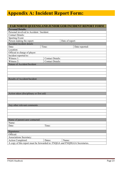### **Appendix A: Incident Report Form:**

|                                                                            |                         | FAR NORTH QUEENSLAND JUNIOR GOR INCIDENT REPORT FORM |  |  |  |
|----------------------------------------------------------------------------|-------------------------|------------------------------------------------------|--|--|--|
| <b>Personal Details:</b>                                                   |                         |                                                      |  |  |  |
| Personal involved in Accident / Incident:                                  |                         |                                                      |  |  |  |
| <b>Contact Details:</b>                                                    |                         |                                                      |  |  |  |
| <b>Sporting Event:</b>                                                     |                         |                                                      |  |  |  |
| Person making the report:                                                  |                         | Date of report:                                      |  |  |  |
| Accident/incident details                                                  |                         |                                                      |  |  |  |
| Date:                                                                      | Time:                   | Date reported:                                       |  |  |  |
| Location:                                                                  |                         |                                                      |  |  |  |
| Official in charge of player:                                              |                         |                                                      |  |  |  |
| Incident reported to:                                                      |                         |                                                      |  |  |  |
| Witness 1:                                                                 | <b>Contact Details:</b> |                                                      |  |  |  |
| Witness 2:                                                                 | <b>Contact Details:</b> |                                                      |  |  |  |
| Nature of Accident/Incident                                                |                         |                                                      |  |  |  |
|                                                                            |                         |                                                      |  |  |  |
|                                                                            |                         |                                                      |  |  |  |
|                                                                            |                         |                                                      |  |  |  |
|                                                                            |                         |                                                      |  |  |  |
| Results of Accident/Incident                                               |                         |                                                      |  |  |  |
|                                                                            |                         |                                                      |  |  |  |
|                                                                            |                         |                                                      |  |  |  |
|                                                                            |                         |                                                      |  |  |  |
|                                                                            |                         |                                                      |  |  |  |
| Action taken (disciplinary or first aid)                                   |                         |                                                      |  |  |  |
|                                                                            |                         |                                                      |  |  |  |
|                                                                            |                         |                                                      |  |  |  |
|                                                                            |                         |                                                      |  |  |  |
| Any other relevant comments                                                |                         |                                                      |  |  |  |
|                                                                            |                         |                                                      |  |  |  |
|                                                                            |                         |                                                      |  |  |  |
|                                                                            |                         |                                                      |  |  |  |
|                                                                            |                         |                                                      |  |  |  |
| Name of parent/carer contacted:                                            |                         |                                                      |  |  |  |
| Name:                                                                      |                         |                                                      |  |  |  |
| Date:                                                                      | Time:                   |                                                      |  |  |  |
|                                                                            |                         |                                                      |  |  |  |
| Signatures:                                                                |                         |                                                      |  |  |  |
| Official:                                                                  |                         |                                                      |  |  |  |
| <b>Associations Secretary:</b>                                             |                         |                                                      |  |  |  |
| <b>Action Completed:</b>                                                   | Dates:                  | Name:                                                |  |  |  |
| A copy of this report must be forwarded to: FNQGA and FNQDLGA Secretaries. |                         |                                                      |  |  |  |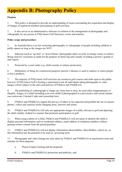### **Appendix B: Photography Policy**

#### **Purpose**

1. This policy is designed to provide an understanding of issues surrounding the acquisition and display of images of registered members participating in golf activities.

2. It also serves as an administrative reference in relation to the management of photography and videography by any person at FNQ Junior Golf functions, events and matches.

#### **Policy scope and procedure**

3. In Australia there is no law restricting photography or videography of people including children in public spaces as long as the images are NOT:

4. Indecent (such as 'up skirt' or 'down blouse' photographs taken covertly in change rooms or toilets), Being used for voyeurism or made for the purpose of observing and visually recording a person's genital or anal region,

5. Protected by a court order (e.g. child custody or witness protection),

6. Defamatory or being for commercial purposes (person's likeness is used to endorse or entice people to buy a product).

7. The majority of FNQ Junior Golf activities are located at golf courses and clubs open to the public however if FNQ Junior Golf is hosting a sanctioned event all individuals taking photographs or video images will be subject to the rules and policies of FNQGA and FNQDLGA.

8. The publishing of a photograph or image can, from time to time, be used either inappropriately or illegally. Images of a child (including your own child) if photographed in a provocative and sexual manner can contravene Criminal Codes and censorship laws.

9. FNQGA and FNQDLGA require the privacy of others to be respected and prohibit the use of camera phones, videos and cameras inside changing areas, showers and toilets.

10. FNQGA and FNQDLGA will only use appropriate images of a child, relevant to golf and depicting the child suitably clothed in a manner that promotes participation in golf.

11. When using a photo of a child, FNQGA and FNQDLGA will not name or identify the child or display personal information such as residential address, email address or telephone numbers without gaining written consent from the parent/guardian.

12. FNQGA and FNQDLGA will not display information about hobbies, likes/dislikes, school etc. as this information has the potential to be used as 'grooming tools.

13. Photography and video footage are only taken by FNQGA and FNQDLGA at sanctioned events and matches for three purposes:

- a. Player/Umpire training and development,
- b. FNQGA and FNQDLGA promotion and publicity, and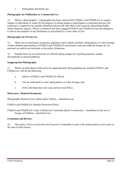c. Participants and family use.

#### **Photography for Publication or Commercial Use**

14. Where a photographer / videographer has been contracted by FNQGA and FNQDLGA to acquire images of individuals or teams for the purpose of selling images to participants or interested persons, the contractor is required to be suitably identified and provide their Blue Card issued by Queensland Public Safety Business Agency. Where a contractor has been engaged FNQGA and FNQDLGA has the obligation to advise the contactor of any limitations as prescribed by a court order or law?

#### **Photography for Private Use**

15. There are no restrictions on parents, guardians and/or family members taking photos or video footage of their children participating in FNQGA and FNQDLGA sanctioned events provided the images are for personal use and do not encroach on the policy limitations.

16. Equally there are no restrictions on officials taking images for coaching purposes, umpire development or general publicity.

#### **Inappropriate Photography**

17. Where an individual is believed to be inappropriately photographing any member FNQGA and FNQDLGA, will do the following:

- a. Inform a FNQGA and FNQDLGA official,
- b. Ask the individual to cease taking photos or video footage, and
- c If the individual does not cease call the local Police.

#### **References / Related Documents:**

Photographic Release Form Adults and/or Minors – attachment one

- FNQGA and FNQDLGA Member Protection Policy
- FNQGA and FNQDLGA Codes of Behaviour Australian Sports Commission Guidelines on the use of Images of Children - attachment two

#### **Evaluation and Review:**

18. This policy will be reviewed by the Executive Committee as part of the annual policy review prior to the start of each season.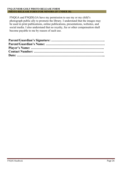#### **FNQ JUNIOR GOLF PHOTO RELEASE FORM PHOTO RELEASE FORM FOR MINORS (IF UNDER 18)**

FNQGA and FNQDLGA have my permission to use my or my child's photograph public ally to promote the library. I understand that the images may be used in print publications, online publications, presentations, websites, and social media. I also understand that no royalty, fee or other compensation shall become payable to me by reason of such use.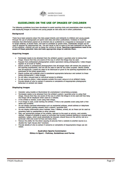

#### **GUIDELINES ON THE USE OF IMAGES OF CHILDREN**

The following guidelines have been developed to assist sporting clubs and associations when acquiring and displaying images of children and young people on web sites and in other publications.

#### **Background**

There have been concerns about the risks posed directly and indirectly to children and young people through the use of photographs on sports web sites and other publications. Evidence in Australia indicates that information posted on an internet site or published in a magazine or newspaper is used to target children, to locate them, and then to condition or groom them. Additionally images can be used or adapted for inappropriate use. The end result is that in spite of the best intentions on the part of the publisher, children can end up being the victims of abuse. Sporting organisations need to be aware of these potential risks and take appropriate steps to address them.

#### **Acquiring images**

- . Permission needs to be obtained from the athlete's parent / quardian prior to taking their image. Ensure that they are aware of the way in which the image may be used.
- Request that professional photographers and/or spectators taking photographic / video images register at an event or facility.
- . Clearly outline to professional photographers that all images taken will remain the property of the sporting organisation, and can not be used or sold for any other purpose. Clearly outline that all negatives / proofs etc need to be destroyed or given to the sporting organisation at the conclusion of the photo opportunity.
- . Clearly outline and publicise what is considered appropriate behaviour and content to those taking photographic / video images.
- Do not allow unsupervised or individual access to athletes.
- Do not approve photo / video sessions outside the event venue or at an athlete's home.
- Provide details of who to contact if concerns or complaints of inappropriate photographic behaviour or content are raised.

#### **Displaying images**

- . Consider using models or illustrations for promotional / advertising purposes.
- Permission needs to be obtained from the athlete's parent / quardian prior to using their image. Ensure that they are aware of the way in which the image is to be used and how long the image will be displayed when used on a website.
- If the athlete is named, avoid using their image.
- . If an image is used, avoid naming the athlete. If this is not possible avoid using both a first name and surname.
- Do not display personal information such as residential address, email address or telephone numbers without gaining consent from a parent / guardian first.
- Do not display information about hobbies, likes / dislikes, school, etc as these can be used as grooming tools by paedophiles or other persons.
- Only use appropriate images of the athlete, relevant to the sport or activity, and suitably clothed. Images of athletes in sports or activities that involve minimal clothing or unusual body positions / poses, which could potentially be misused, should focus on the activity not on a particular child and avoid full face and body shots.
- Reduce the ability for the direct copying of pictures from a website to another source (i.e. disable the 'right mouse click' function).
- Provide details of who to contact if concerns or complaints of inappropriate image use are raised.

#### **Australian Sports Commission Ethics in Sport - Policies, Guidelines and Forms**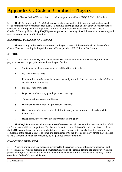### **Appendix C: Code of Conduct - Players**

1. This Players Code of Conduct is to be read in conjunction with the FNQGA Code of Conduct.

2. The FNQ Junior Golf (FNQJG) takes great pride in the quality of its players, host facilities, and broad community involvement at each event. To continue offering a high quality, enjoyable experience for everyone, all junior players are required to follow a set of guidelines known as the "Player Code of Conduct". These guidelines help FNQJG promote growth and maturity of participants by understanding and accepting consequences of their actions.

#### **ALCOHOL, TOBACCO AND DRUGS**

3. The use of any of these substances on or off the golf course will be considered a violation of the Code of Conduct resulting in disqualification and/or suspension of FNQ Junior Golf events.

#### **ATTIRE**

4. It is the intent of the FNQJG to acknowledge each player's individuality. However, tournament players must wear proper golf attire while at the golf facility.

- a. Shirts must be of appropriate golf style (Club Shirt with collar),
- b. No tank tops or t-shirts,
- c. Female shirts must be worn in a manner whereby the shirt does not rise above the belt line at any time during the swing.
- d. No tight jeans or cut-offs.
- e. Boys may not have body piercings or wear earrings.
- f. Tattoos must be covered at all times.
- g. Hair must be neatly kept in a professional manner.
- h. Hats/visors should be worn with the brim forward; males must remove hat/visor while indoors. and
- i. Headphones, mp3 players, etc. are prohibited during play.

5. The FNQJG committee and hosting club staff reserves the right to determine the acceptability of all golf attire worn while in competition. If a player is found to be in violation of the aforementioned policies, the FNQJG committee or the hosting club staff may request the player to remedy the infraction prior to competing. If the player is unable to come into compliance with the dress code policy, he/she may be asked to leave the tournament and subsequently be disqualified from competition.

#### **ON-COURSE BEHAVIOR**

6. Abusive or inappropriate language; disrespectful behaviours towards officials, volunteers or golf professionals; throwing or breaking golf equipment; any form of cheating; leaving the golf course without properly notifying an official during a tournament round; and abuse of the golf course in any way will be considered Code of Conduct violations.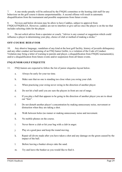7. A one-stroke penalty will be enforced by the FNQJG committee or the hosting club staff for any behaviour on the golf course it deems unsportsmanlike. A second offense will result in automatic disqualification from the tournament and possible suspensions from future events.

8. Novices and below division may be allow to have Caddies, subject to approval from FNQGA/FNQDLGA. However, caddies are not to interfere or give advice once the player is on the tee that includes selecting clubs for the player.

9. Do not solicit advice from a spectator or coach, "Advice is any counsel or suggestion which could influence a player in determining your play, choice of club or method of making a stroke."

#### **OFF-COURSE BEHAVIOR**

10. Any abusive language, vandalism of any kind at the host golf facility, history of juvenile delinquency and any other conduct not becoming of an FNQ Junior Golfer, is a violation of the Code of Conduct. Violation may bring a letter of warning to parents and player, a disqualification from FNQJG tournament(s), and/or a disqualification from future events and/or suspension from all future events.

#### **FNQ JUNIOR GOLF ETIQUETTE**

- 11. FNQ Juniors are expected to follow the list of junior etiquettes layout below.
	- a. Always be early for your tee time.
	- b. Make sure that no one is standing too close when you swing your club.
	- c. When practicing your swing never swing in the direction of another player.
	- d. Do not hit a ball until you are sure the players in front are out of range.
	- e. If you play a ball that appears to be going in the direction of another player you are to shout out "fore".
	- f. Do not disturb another player's concentration by making unnecessary noise, movement or distraction when they are taking a shot.
	- g. Walk between holes (no runner or making unnecessary noise and movement.
	- h. No mobile phones on the course.
	- i. Never throw a club or hit your bag with a club in anger.
	- j. Play at a good pace and keep the round moving.
	- k. Repair all divots made after you have taken a shot and any damage on the green caused by the impact of the ball.
	- l. Before leaving a bunker always rake the sand.
	- m. Try and leave the bunker as you would like to find it.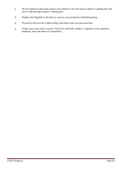- n. Do not stand in a place that causes your shadow to be cast across a player's putting line and never walk through a player's putting line.
- 0. Replace the flagstick in the hole as soon as your group have finished putting.
- p. Proceed to the next tee without delay and mark scores for previous hole.
- q. Check your score card is correct: Score for each hole, marker's signature, your signature, handicap, date and name of competition.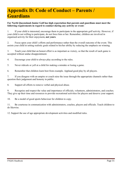### **Appendix D: Code of Conduct – Parents / Guardians**

#### **Far North Queensland Junior Golf has high expectation that parents and guardians must meet the following requirements in regard to conduct during any activity or event:**

1. If your child is interested, encourage them to participate in the appropriate golf activity. However, if your child is not willing to participate, do not force him or her. Remember, children are involved in organised activity for their enjoyment**, not yours**.

2. Focus upon your child's efforts and performance rather than the overall outcome of the event. This assists your child in setting realistic goals related to his/her ability by reducing the emphasis on winning.

3. Teach your child that an honest effort is as important as victory, so that the result of each game is accepted without undue disappointment.

4. Encourage your child to always play according to the rules.

5. Never ridicule or yell at a child for making a mistake or losing a game.

6. Remember that children learn best from example. Applaud good play by all players.

7. If you disagree with an umpire or coach raise the issue through the appropriate channels rather than question their judgement and honesty in public.

8. Support all efforts to remove verbal and physical abuse.

9. Recognise and respect the value and importance of officials, volunteers, administrators, and coaches. They give up their time and resources to provide recreational activities for players and deserve your support.

10. Be a model of good sports behaviour for children to copy.

11. Be courteous in communication with administrators, coaches, players and officials. Teach children to do likewise.

12. Support the use of age appropriate development activities and modified rules.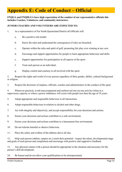### **Appendix E: Code of Conduct – Official**

#### **FNQGA and FNQDLGA have high expectation of the conduct of our representative officials this includes Coaches, Volunteers, and community instructors.**

#### **JUNIOR COACHES AND VOLUNTEERS ARE EXPECTED TO:**

- 1. As a representative of Far North Queensland District all Officials will:
	- a. Be a positive role model.
	- b. Know the rules and understand the consequences if rules are breached.
	- c. Operate within the rules and spirit of golf, promoting fair play over winning at any cost.
	- d. Encourage and support opportunities for people to learn appropriate behaviour and skills.
	- e. Support opportunities for participation in all aspects of the sport.
	- f. Treat each person as an individual.
	- g. Display control and courtesy to all involved with the sport.

2. Respect the rights and worth of every person regardless of their gender, ability, cultural background or religion.

3. Respect the decisions of umpires, officials, coaches and administrators in the conduct of the sport.

4. Wherever practical, avoid unaccompanied and unobserved one-on-one activity (when in a supervisory capacity or where a power imbalance will exist) with people less than the age of 18 years.

- 5. Adopt appropriate and responsible behaviour in all interactions.
- 6. Adopt responsible behaviour in relation to alcohol and other drugs.
- 7. Act with integrity and objectivity, and accept responsibility for your decisions and actions.
- 8. Ensure your decisions and actions contribute to a safe environment.
- 9. Ensure your decisions and actions contribute to a harassment free environment.
- 10. Do not tolerate harmful or abusive behaviour.
- 11. Place the safety and welfare of the athletes above all else.

12. Help each person (athlete, umpire etc.) reach their potential - respect the talent, developmental stage and goals of each person and compliment and encourage with positive and supportive feedback.

13. Any physical contact with a person should be appropriate to the situation and necessary for the person's skill development.

24. Be honest and do not allow your qualifications to be misrepresented.

FNQJG Handbook Page 32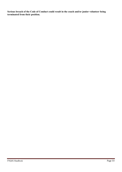**Serious breach of the Code of Conduct could result in the coach and/or junior volunteer being terminated from their position.**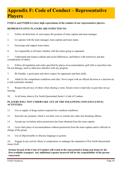### **Appendix F: Code of Conduct – Representative Players**

#### **FNQGA and FNQDLGA have high expectations of the conduct of our representative players.**

#### **REPRESENTATIVE PLAYERS ARE EXPECTED TO:**

- 1. Follow all directions of, and respect the position of team captain and team manager.
- 2. Co-operate with the team manager, team captain and team mates.
- 3. Encourage and support team mates.
- 4. Act responsibly at all times whether with the entire group or separated.

5. Understand and respect cultural and social differences, and behave with sensitivity and due consideration of others.

6. Follow all regulation and codes specified by places of accommodation, golf club or anywhere else. Do not damage, steal or otherwise interfere with any property.

7. Be friendly, a good sport and show respect for opponents and their skills.

8. Abide by the competition conditions and rules. Never argue with an official decision or a decision by a club committee member.

9. Respect the privacy of others when sharing a room. Ensure room is kept tidy so gear does not go missing.

10. At all times observe Far North Queensland Junior's Code of Conduct.

#### **PLAYERS WILL NOT UNDERTAKE ANY OF THE FOLLOWING (NON-EXCLUSIVE) ACTIVITIES:**

11. Use or supply of drugs (unless required for a medical condition)

- 12. Souvenir any property which is not their own or commit any other law-breaking offence.
- 13. Accept any invitation unless permission has been obtained from the team captain.

14. Leave their place of accommodation without permission from the team captain and/or officials in charge of the group.

15. Use of objectionable or obscene language or gesture.

16**.** Engage in any activity likely to compromise or endanger the reputation of Far North Queensland Junior Golf.

**Serious breach of the Code of Conduct will result in the representative being sent home by the first available transport. Any additional expense incurred will be the responsibility of the person concerned.**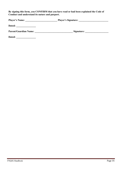**By signing this form, you CONFIRM that you have read or had been explained the Code of Conduct and understand its nature and purport.** 

| <b>Player's Name:</b>        | <b>Player's Signature:</b> |  |  |
|------------------------------|----------------------------|--|--|
| Dated:                       |                            |  |  |
| <b>Parent/Guardian Name:</b> | Signature:                 |  |  |

**Dated: \_\_\_\_\_\_\_\_\_\_\_\_\_\_\_\_**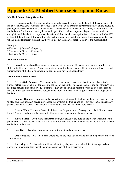### **Appendix G: Modified Course Set up and Rules**

#### **Modified Course Set-up Guidelines**

1. It is recommended that considerable thought be given to modifying the length of the course played for Sub-Junior Events. A common practice is to play the event from the 150 metre markers on the course by placing temporary tee markers (domes/witches' hats) adjacent to a mark on the fairway or light rough. This method doesn't offer much variety in par or length of hole and once a junior player becomes proficient enough in skill, he/she tends to just use the driver all day. An alternate option is to reduce the holes by 50% of their full length and still refer to the holes as the existing par and stroke index. It also recommended that when placing temporary tee markers, they be placed at the nearest practical point to the measurement.

Example:

460m par 5  $\omega$  50% = 230m par 5, 375m par 4  $\omega$  50% = 187.5m par 4, 142m par 3  $\omega$  50% = 71m par 3

#### **Rule Modifications**

2. Consideration should be given to at what stage in a Junior Golfers development you introduce the Rules of Golf in their entirety. A progression from none for the very new golfer to a few and finally a good understanding of the basic rules would be considered a development pathway.

#### **Example Rule Modification**

3. **Green - Side Bunkers** – 3/6-Hole modified players must make one (1) attempt to play out of a bunker before they are eligible for a drop to the side of the bunker no nearer the hole, add one stroke. 9-hole modified players must make two (2) attempts to play out of a bunker before they are eligible for a drop to the side of the bunker no nearer the hole, add one stroke. Novices are not eligible for any free drops out of bunkers.

4. **Fairway Bunkers** – Drop out to the nearest point, not closer to the hole, so the player does not have to play over the bunker. A player may choose to play from the bunker and after any shot in the bunker may proceed as above. Scoring when relief is taken: add one stroke extra to that hole's score.

5. **Lateral Water Hazard** – Drop a ball from near the point on the fairway where the ball went into the hazard. Scoring: add one stroke extra to that hole's score for each time it enters the hazard.

6. **Water hazard** – Drop out to the nearest point, not closer to the hole, so the player does not have to play over the hazard. Scoring: add one stroke extra for each time the ball enters the hazard and relief is taken on the hole to the score.

7. **Lost Ball** – Play a ball from where you hit the shot, add one extra stroke.

8. **Out of Bounds** – Play a ball from where you hit the shot, add one extra stroke (no penalty, 3/6 Holes Modified only).

9. **Air Swings** – If a player does not have a handicap, they are not penalised for air swings. When playing for a handicap they must be counted as it is part of their progression.